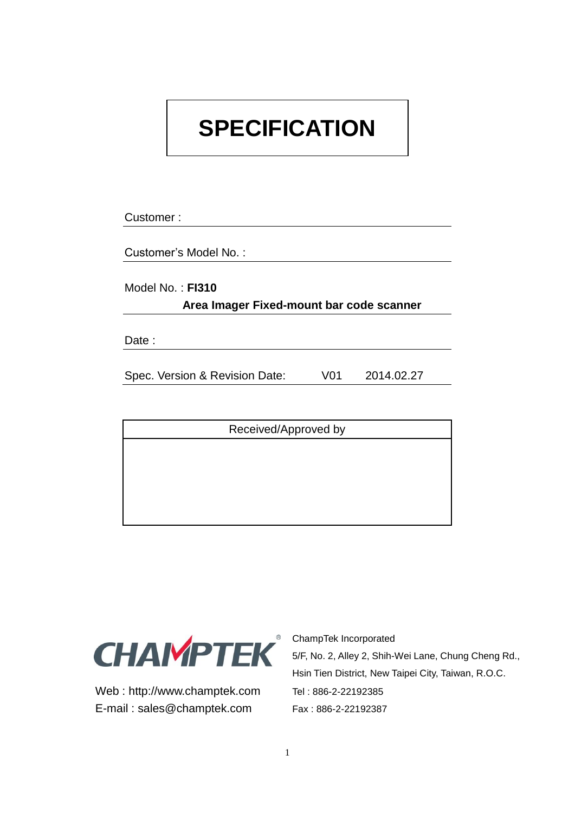# **SPECIFICATION**

Customer :

Customer's Model No. :

Model No. : **FI310 Area Imager Fixed-mount bar code scanner**

Date :

Spec. Version & Revision Date: V01 2014.02.27

Received/Approved by



Web: http://www.champtek.com Tel: 886-2-22192385 E-mail: sales@champtek.com Fax: 886-2-22192387

ChampTek Incorporated 5/F, No. 2, Alley 2, Shih-Wei Lane, Chung Cheng Rd., Hsin Tien District, New Taipei City, Taiwan, R.O.C.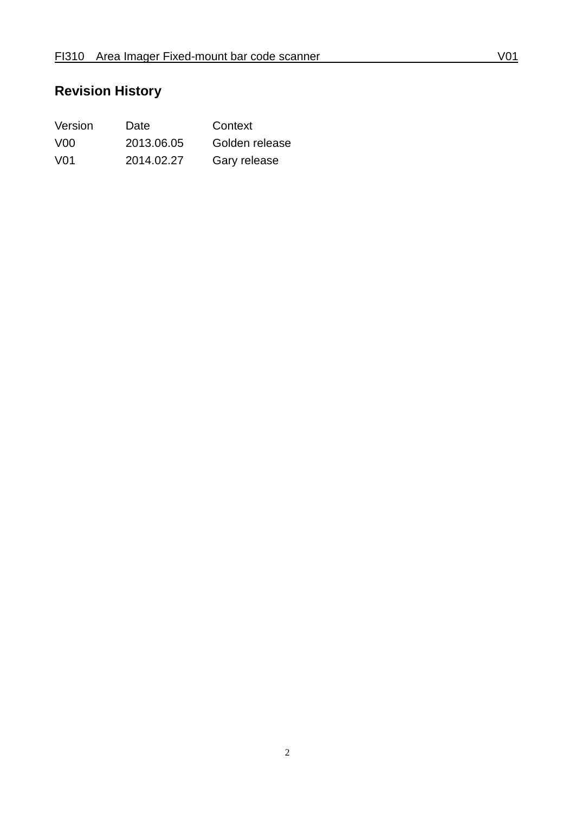# **Revision History**

| Version          | Date       | Context        |
|------------------|------------|----------------|
| V <sub>0</sub> 0 | 2013.06.05 | Golden release |
| V <sub>0</sub> 1 | 2014.02.27 | Gary release   |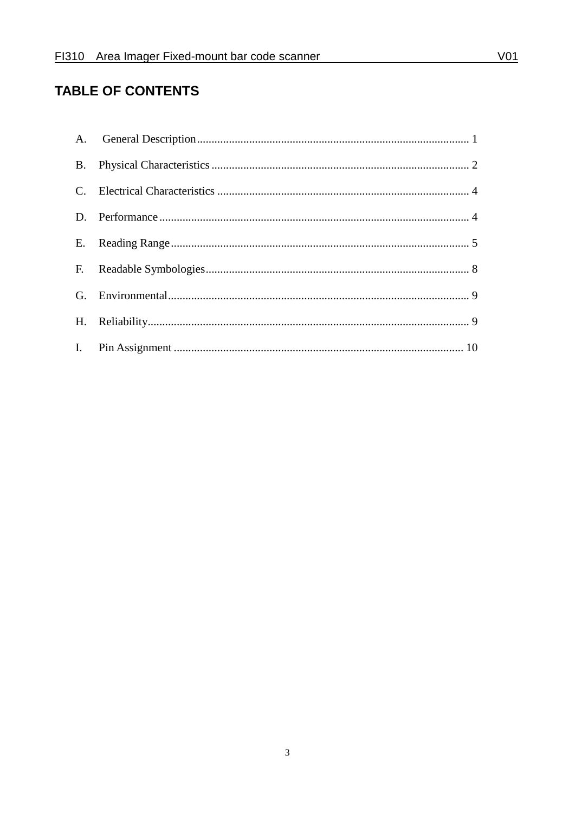#### **TABLE OF CONTENTS**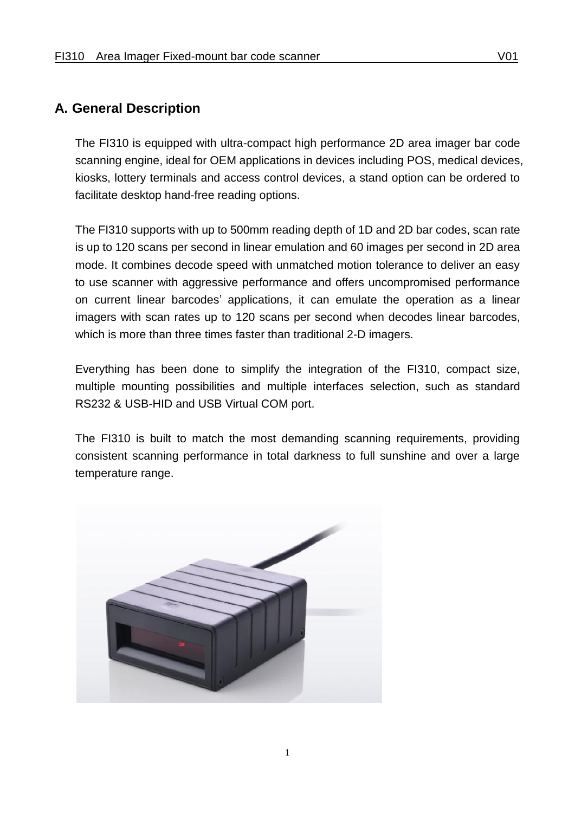#### <span id="page-3-0"></span>**A. General Description**

The FI310 is equipped with ultra-compact high performance 2D area imager bar code scanning engine, ideal for OEM applications in devices including POS, medical devices, kiosks, lottery terminals and access control devices, a stand option can be ordered to facilitate desktop hand-free reading options.

The FI310 supports with up to 500mm reading depth of 1D and 2D bar codes, scan rate is up to 120 scans per second in linear emulation and 60 images per second in 2D area mode. It combines decode speed with unmatched motion tolerance to deliver an easy to use scanner with aggressive performance and offers uncompromised performance on current linear barcodes' applications, it can emulate the operation as a linear imagers with scan rates up to 120 scans per second when decodes linear barcodes, which is more than three times faster than traditional 2-D imagers.

Everything has been done to simplify the integration of the FI310, compact size, multiple mounting possibilities and multiple interfaces selection, such as standard RS232 & USB-HID and USB Virtual COM port.

The FI310 is built to match the most demanding scanning requirements, providing consistent scanning performance in total darkness to full sunshine and over a large temperature range.

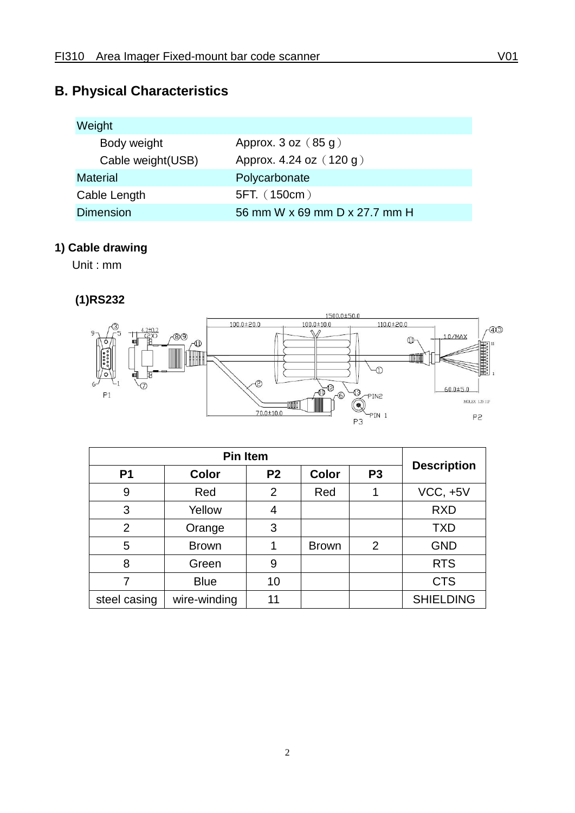## <span id="page-4-0"></span>**B. Physical Characteristics**

| Weight             |                               |
|--------------------|-------------------------------|
| Body weight        | Approx. $3$ oz $(85 g)$       |
| Cable weight (USB) | Approx. 4.24 oz (120 g)       |
| <b>Material</b>    | Polycarbonate                 |
| Cable Length       | 5FT. (150cm)                  |
| <b>Dimension</b>   | 56 mm W x 69 mm D x 27.7 mm H |

## **1) Cable drawing**

Unit : mm

#### **(1)RS232**



| P <sub>1</sub> | <b>Color</b> | P <sub>2</sub> | <b>Color</b> | P <sub>3</sub> | <b>Description</b> |
|----------------|--------------|----------------|--------------|----------------|--------------------|
| 9              | Red          | $\overline{2}$ | Red          |                | $VCC, +5V$         |
| 3              | Yellow       | 4              |              |                | <b>RXD</b>         |
| $\overline{2}$ | Orange       | 3              |              |                | <b>TXD</b>         |
| 5              | <b>Brown</b> |                | <b>Brown</b> | 2              | <b>GND</b>         |
| 8              | Green        | 9              |              |                | <b>RTS</b>         |
| 7              | <b>Blue</b>  | 10             |              |                | <b>CTS</b>         |
| steel casing   | wire-winding | 11             |              |                | <b>SHIELDING</b>   |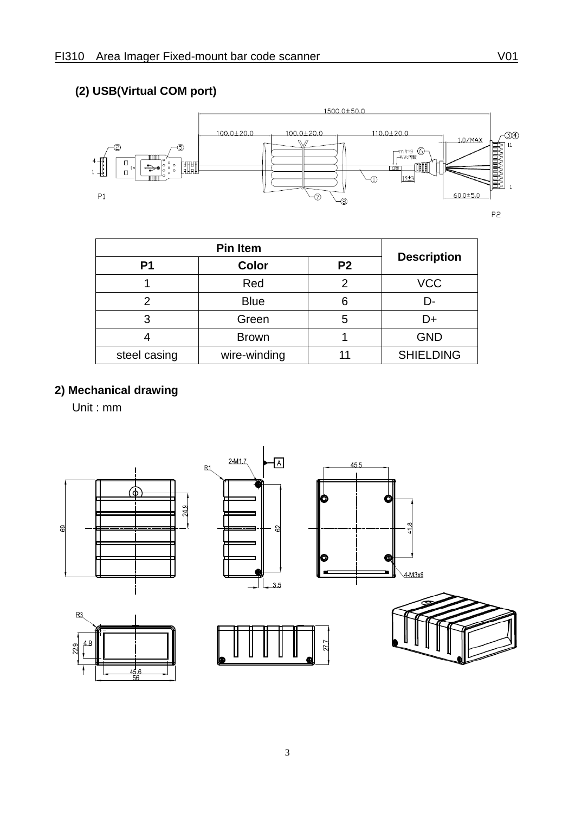## **(2) USB(Virtual COM port)**



| P <sub>1</sub> | Color        | P <sub>2</sub> | <b>Description</b> |
|----------------|--------------|----------------|--------------------|
|                | Red          | 2              | <b>VCC</b>         |
|                | <b>Blue</b>  | 6              | D-                 |
|                | Green        | 5              | D+                 |
|                | <b>Brown</b> |                | <b>GND</b>         |
| steel casing   | wire-winding |                | <b>SHIELDING</b>   |

### **2) Mechanical drawing**

Unit : mm

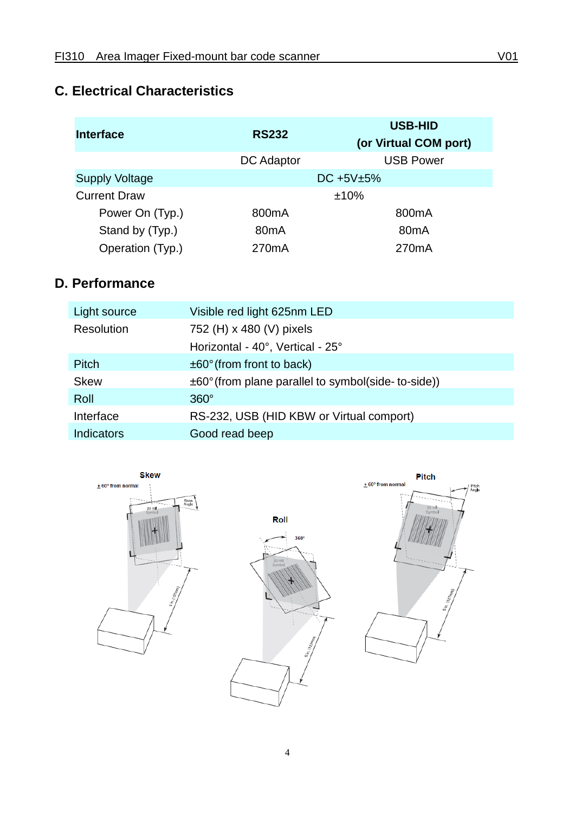### <span id="page-6-0"></span>**C. Electrical Characteristics**

| <b>Interface</b>      | <b>RS232</b>       | <b>USB-HID</b><br>(or Virtual COM port) |
|-----------------------|--------------------|-----------------------------------------|
|                       | <b>DC</b> Adaptor  | <b>USB Power</b>                        |
| <b>Supply Voltage</b> |                    | DC $+5V±5%$                             |
| <b>Current Draw</b>   |                    | ±10%                                    |
| Power On (Typ.)       | 800 <sub>m</sub> A | 800 <sub>m</sub> A                      |
| Stand by (Typ.)       | 80 <sub>m</sub> A  | 80 <sub>m</sub> A                       |
| Operation (Typ.)      | 270 <sub>m</sub> A | 270 <sub>m</sub> A                      |

## <span id="page-6-1"></span>**D. Performance**

| Light source      | Visible red light 625nm LED                                    |
|-------------------|----------------------------------------------------------------|
| <b>Resolution</b> | 752 (H) x 480 (V) pixels                                       |
|                   | Horizontal - 40°, Vertical - 25°                               |
| <b>Pitch</b>      | $\pm 60^\circ$ (from front to back)                            |
| <b>Skew</b>       | $\pm 60^{\circ}$ (from plane parallel to symbol(side-to-side)) |
| Roll              | $360^\circ$                                                    |
| Interface         | RS-232, USB (HID KBW or Virtual comport)                       |
| Indicators        | Good read beep                                                 |

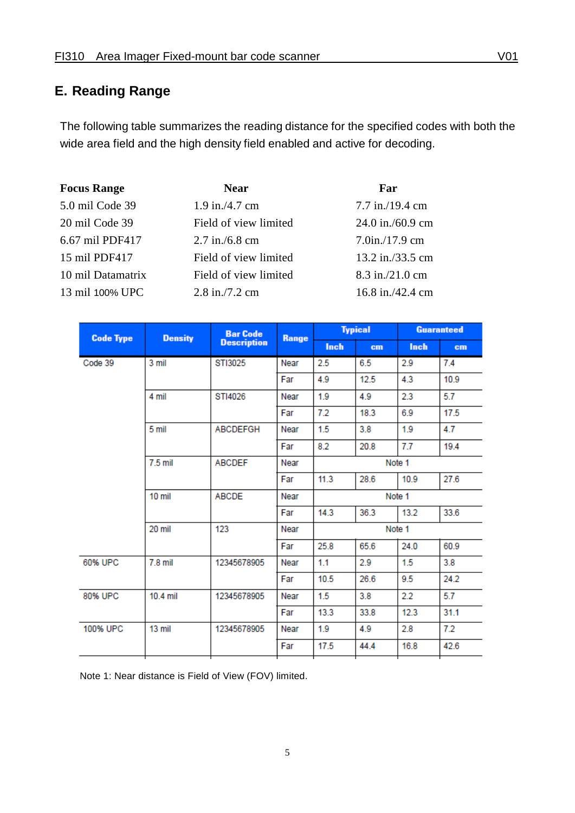#### <span id="page-7-0"></span>**E. Reading Range**

The following table summarizes the reading distance for the specified codes with both the wide area field and the high density field enabled and active for decoding.

| <b>Focus Range</b> | <b>Near</b>           | Far                |
|--------------------|-----------------------|--------------------|
| 5.0 mil Code 39    | $1.9$ in./4.7 cm      | $7.7$ in./19.4 cm  |
| 20 mil Code 39     | Field of view limited | $24.0$ in./60.9 cm |
| 6.67 mil PDF417    | $2.7$ in./6.8 cm      | $7.0$ in./17.9 cm  |
| 15 mil PDF417      | Field of view limited | 13.2 in./33.5 cm   |
| 10 mil Datamatrix  | Field of view limited | $8.3$ in./21.0 cm  |
| 13 mil 100% UPC    | $2.8$ in./7.2 cm      | $16.8$ in./42.4 cm |

| <b>Code Type</b> | <b>Density</b> | <b>Bar Code</b>    | Range |        | <b>Typical</b> |        | <b>Guaranteed</b> |
|------------------|----------------|--------------------|-------|--------|----------------|--------|-------------------|
|                  |                | <b>Description</b> |       | Inch   | cm             | Inch   | cm                |
| Code 39          | 3 mil          | STI3025            | Near  | 2.5    | 6.5            | 2.9    | 7.4               |
|                  |                |                    | Far   | 4.9    | 12.5           | 4.3    | 10.9              |
|                  | 4 mil          | STI4026            | Near  | 1.9    | 4.9            | 2.3    | 5.7               |
|                  |                |                    | Far   | 7.2    | 18.3           | 6.9    | 17.5              |
|                  | 5 mil          | <b>ABCDEFGH</b>    | Near  | 1.5    | 3.8            | 1.9    | 4.7               |
|                  |                |                    | Far   | 8.2    | 20.8           | 7.7    | 19.4              |
|                  | 7.5 mil        | <b>ABCDEF</b>      | Near  |        |                | Note 1 |                   |
|                  |                |                    | Far   | 11.3   | 28.6           | 10.9   | 27.6              |
|                  | $10$ mil       | <b>ABCDE</b>       | Near  | Note 1 |                |        |                   |
|                  |                |                    | Far   | 14.3   | 36.3           | 13.2   | 33.6              |
|                  | 20 mil         | 123                | Near  | Note 1 |                |        |                   |
|                  |                |                    | Far   | 25.8   | 65.6           | 24.0   | 60.9              |
| 60% UPC          | $7.8$ mil      | 12345678905        | Near  | 1.1    | 2.9            | 1.5    | 3.8               |
|                  |                |                    | Far   | 10.5   | 26.6           | 9.5    | 24.2              |
| 80% UPC          | 10.4 mil       | 12345678905        | Near  | 1.5    | 3.8            | 2.2    | 5.7               |
|                  |                |                    | Far   | 13.3   | 33.8           | 12.3   | 31.1              |
| 100% UPC         | 13 mil         | 12345678905        | Near  | 1.9    | 4.9            | 2.8    | 7.2               |
|                  |                |                    | Far   | 17.5   | 44.4           | 16.8   | 42.6              |
|                  |                |                    |       |        |                |        |                   |

Note 1: Near distance is Field of View (FOV) limited.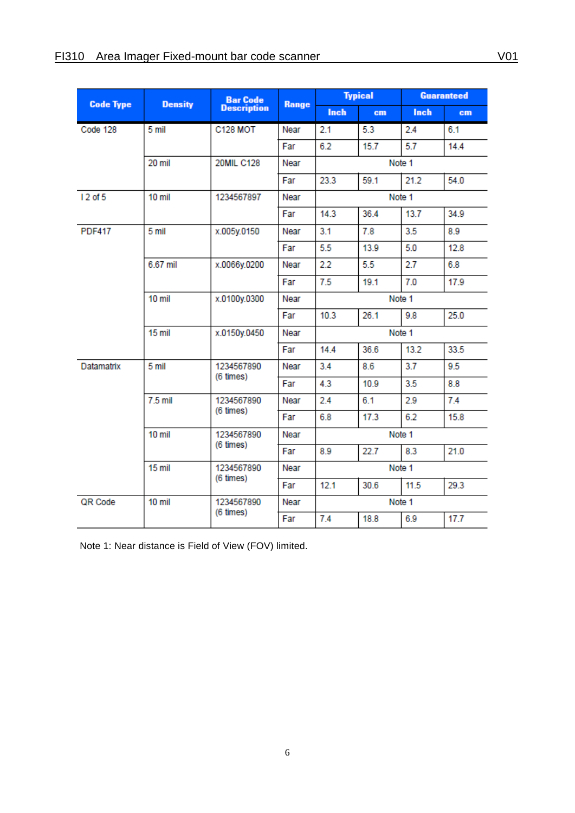| <b>Code Type</b>    | <b>Density</b>                       | <b>Bar Code</b>    |       |             | <b>Typical</b> |             | <b>Guaranteed</b> |  |
|---------------------|--------------------------------------|--------------------|-------|-------------|----------------|-------------|-------------------|--|
|                     |                                      | <b>Description</b> | Range | <b>Inch</b> | cm             | <b>Inch</b> | cm                |  |
| Code 128            | 5 mil                                | <b>C128 MOT</b>    | Near  | 2.1         | 5.3            | 2.4         | 6.1               |  |
|                     |                                      |                    | Far   | 6.2         | 15.7           | 5.7         | 14.4              |  |
|                     | 20 mil                               | <b>20MIL C128</b>  | Near  | Note 1      |                |             |                   |  |
|                     |                                      |                    | Far   | 23.3        | 59.1           | 21.2        | 54.0              |  |
| 12 of 5             | 10 mil                               | 1234567897         | Near  |             |                | Note 1      |                   |  |
|                     |                                      |                    | Far   | 14.3        | 36.4           | 13.7        | 34.9              |  |
| <b>PDF417</b>       | 5 mil                                | x.005y.0150        | Near  | 3.1         | 7.8            | 3.5         | 8.9               |  |
|                     |                                      |                    | Far   | 5.5         | 13.9           | 5.0         | 12.8              |  |
|                     | 6.67 mil                             | x.0066y.0200       | Near  | 2.2         | 5.5            | 2.7         | 6.8               |  |
|                     |                                      |                    | Far   | 7.5         | 19.1           | 7.0         | 17.9              |  |
|                     | 10 mil                               | x.0100y.0300       | Near  | Note 1      |                |             |                   |  |
|                     |                                      |                    | Far   | 10.3        | 26.1           | 9.8         | 25.0              |  |
|                     | 15 mil                               | x.0150y.0450       | Near  | Note 1      |                |             |                   |  |
|                     |                                      |                    | Far   | 14.4        | 36.6           | 13.2        | 33.5              |  |
| Datamatrix<br>5 mil |                                      | 1234567890         | Near  | 3.4         | 8.6            | 3.7         | 9.5               |  |
|                     |                                      | (6 times)          | Far   | 4.3         | 10.9           | 3.5         | 8.8               |  |
|                     | $7.5$ mil<br>1234567890<br>(6 times) | Near               | 2.4   | 6.1         | 2.9            | 7.4         |                   |  |
|                     |                                      |                    | Far   | 6.8         | 17.3           | 6.2         | 15.8              |  |
|                     | 10 mil                               | 1234567890         | Near  | Note 1      |                |             |                   |  |
|                     |                                      | (6 times)          | Far   | 8.9         | 22.7           | 8.3         | 21.0              |  |
|                     | 15 mil                               | 1234567890         | Near  | Note 1      |                |             |                   |  |
|                     |                                      | (6 times)          | Far   | 12.1        | 30.6           | 11.5        | 29.3              |  |
| QR Code             | 10 mil                               | 1234567890         | Near  |             |                | Note 1      |                   |  |
|                     | (6 times)                            |                    | Far   | 7.4         | 18.8           | 6.9         | 17.7              |  |

Note 1: Near distance is Field of View (FOV) limited.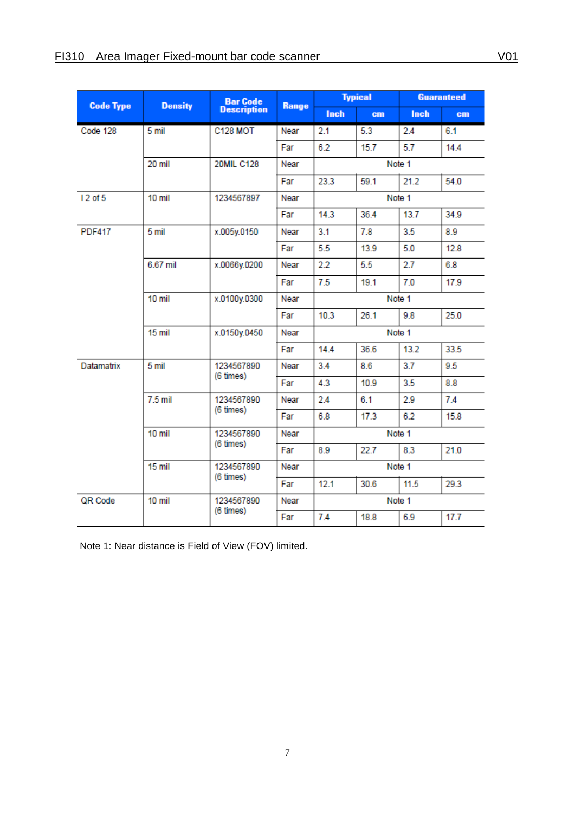|               | <b>Bar Code</b><br><b>Code Type</b><br><b>Density</b> |                    |       | <b>Typical</b> |      | <b>Guaranteed</b> |                 |
|---------------|-------------------------------------------------------|--------------------|-------|----------------|------|-------------------|-----------------|
|               |                                                       | <b>Description</b> | Range | <b>Inch</b>    | cm   | Inch              | cm <sub>1</sub> |
| Code 128      | 5 mil                                                 | <b>C128 MOT</b>    | Near  | 2.1            | 5.3  | 2.4               | 6.1             |
|               |                                                       |                    | Far   | 6.2            | 15.7 | 5.7               | 14.4            |
|               | 20 mil                                                | <b>20MIL C128</b>  | Near  |                |      | Note 1            |                 |
|               |                                                       |                    | Far   | 23.3           | 59.1 | 21.2              | 54.0            |
| 12 of 5       | $10$ mil                                              | 1234567897         | Near  |                |      | Note 1            |                 |
|               |                                                       |                    | Far   | 14.3           | 36.4 | 13.7              | 34.9            |
| <b>PDF417</b> | 5 mil                                                 | x.005y.0150        | Near  | 3.1            | 7.8  | 3.5               | 8.9             |
|               |                                                       |                    | Far   | 5.5            | 13.9 | 5.0               | 12.8            |
|               | 6.67 mil                                              | x.0066y.0200       | Near  | 2.2            | 5.5  | 2.7               | 6.8             |
|               |                                                       |                    | Far   | 7.5            | 19.1 | 7.0               | 17.9            |
|               | 10 mil                                                | x.0100y.0300       | Near  | Note 1         |      |                   |                 |
|               |                                                       |                    | Far   | 10.3           | 26.1 | 9.8               | 25.0            |
|               | $15$ mil                                              | x.0150y.0450       | Near  | Note 1         |      |                   |                 |
|               |                                                       |                    | Far   | 14.4           | 36.6 | 13.2              | 33.5            |
| Datamatrix    | 5 mil<br>(6 times)                                    | 1234567890         | Near  | 3.4            | 8.6  | 3.7               | 9.5             |
|               |                                                       |                    | Far   | 4.3            | 10.9 | 3.5               | 8.8             |
|               | $7.5$ mil                                             | 1234567890         | Near  | 2.4            | 6.1  | 2.9               | 7.4             |
|               | (6 times)                                             |                    | Far   | 6.8            | 17.3 | 6.2               | 15.8            |
|               | 10 mil                                                | 1234567890         | Near  | Note 1         |      |                   |                 |
|               |                                                       | $(6 \times)$       | Far   | 8.9            | 22.7 | 8.3               | 21.0            |
|               | 15 mil                                                | 1234567890         | Near  | Note 1         |      |                   |                 |
|               |                                                       | (6 times)          | Far   | 12.1           | 30.6 | 11.5              | 29.3            |
| QR Code       | $10 \text{ mil}$                                      | 1234567890         | Near  |                |      | Note 1            |                 |
|               | (6 times)                                             |                    | Far   | 7.4            | 18.8 | 6.9               | 17.7            |

Note 1: Near distance is Field of View (FOV) limited.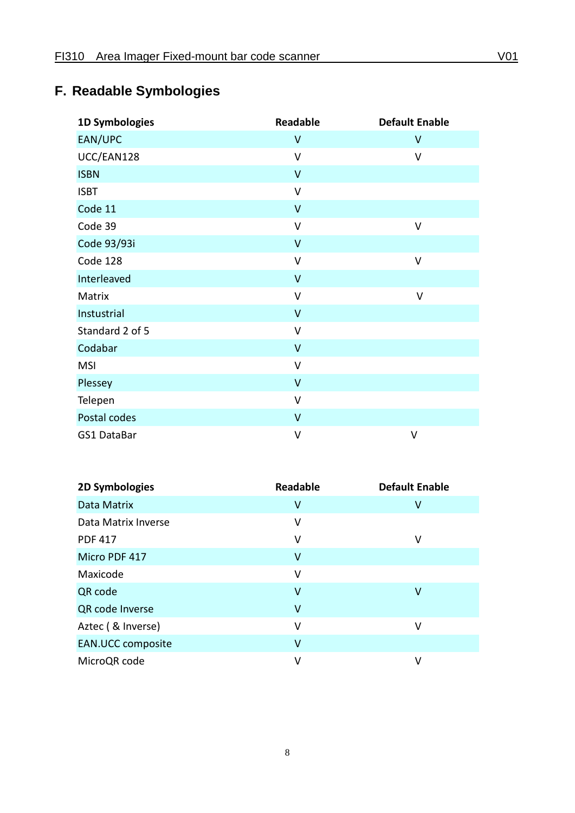# <span id="page-10-0"></span>**F. Readable Symbologies**

| 1D Symbologies  | <b>Readable</b> | <b>Default Enable</b> |
|-----------------|-----------------|-----------------------|
| EAN/UPC         | $\sf V$         | V                     |
| UCC/EAN128      | $\vee$          | $\vee$                |
| <b>ISBN</b>     | $\mathsf{V}$    |                       |
| <b>ISBT</b>     | $\mathsf{V}$    |                       |
| Code 11         | $\mathsf{V}$    |                       |
| Code 39         | $\vee$          | $\vee$                |
| Code 93/93i     | $\mathsf{V}$    |                       |
| Code 128        | $\mathsf{V}$    | V                     |
| Interleaved     | $\mathsf{V}$    |                       |
| Matrix          | $\mathsf{V}$    | V                     |
| Instustrial     | $\mathsf{V}$    |                       |
| Standard 2 of 5 | $\mathsf{V}$    |                       |
| Codabar         | $\vee$          |                       |
| <b>MSI</b>      | V               |                       |
| Plessey         | $\mathsf{V}$    |                       |
| Telepen         | $\vee$          |                       |
| Postal codes    | $\mathsf{V}$    |                       |
| GS1 DataBar     | $\vee$          | V                     |

| 2D Symbologies           | <b>Readable</b> | <b>Default Enable</b> |
|--------------------------|-----------------|-----------------------|
| Data Matrix              | ٧               | V                     |
| Data Matrix Inverse      | v               |                       |
| <b>PDF 417</b>           | v               | ٧                     |
| Micro PDF 417            | ۷               |                       |
| Maxicode                 | ٧               |                       |
| QR code                  | v               | ۷                     |
| QR code Inverse          | ۷               |                       |
| Aztec (& Inverse)        | v               | ٧                     |
| <b>EAN.UCC composite</b> | ۷               |                       |
| MicroQR code             | ٧               | ٧                     |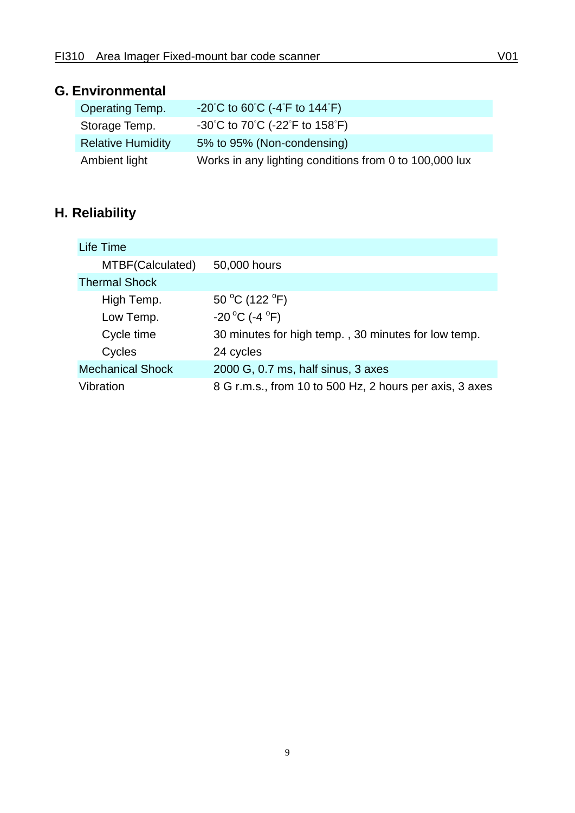#### <span id="page-11-0"></span>**G. Environmental**

| <b>Operating Temp.</b>   | $-20^{\circ}$ C to 60 $^{\circ}$ C ( $-4^{\circ}$ F to 144 $^{\circ}$ F) |
|--------------------------|--------------------------------------------------------------------------|
| Storage Temp.            | -30°C to 70°C (-22°F to 158°F)                                           |
| <b>Relative Humidity</b> | 5% to 95% (Non-condensing)                                               |
| Ambient light            | Works in any lighting conditions from 0 to 100,000 lux                   |

# <span id="page-11-1"></span>**H. Reliability**

| Life Time               |                                                         |
|-------------------------|---------------------------------------------------------|
| MTBF(Calculated)        | 50,000 hours                                            |
| <b>Thermal Shock</b>    |                                                         |
| High Temp.              | 50 °C (122 °F)                                          |
| Low Temp.               | $-20^{\circ}$ C (-4 $^{\circ}$ F)                       |
| Cycle time              | 30 minutes for high temp., 30 minutes for low temp.     |
| Cycles                  | 24 cycles                                               |
| <b>Mechanical Shock</b> | 2000 G, 0.7 ms, half sinus, 3 axes                      |
| Vibration               | 8 G r.m.s., from 10 to 500 Hz, 2 hours per axis, 3 axes |